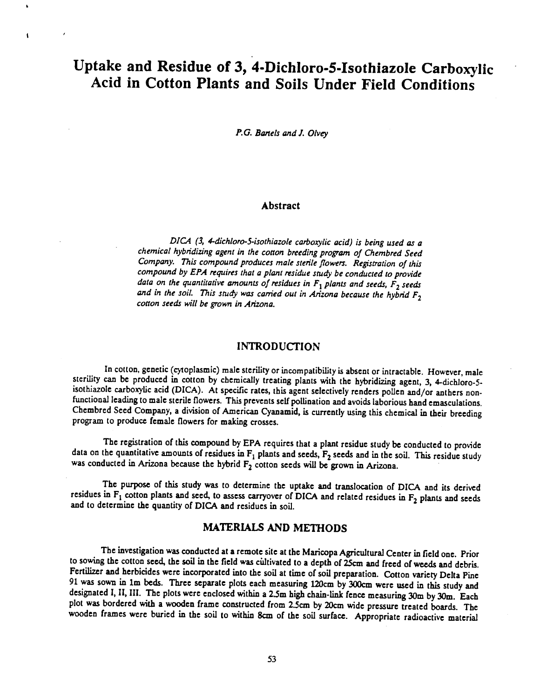# Uptake and Residue of 3, 4-Dichloro-5-Isothiazole Carboxylic<br>Acid in Cotton Plants and Soils Under Field Conditions

 $\mathbf{r}$ 

 $\mathbf{I}$ 

P.G. Bartels and J. Olvey

#### Abstract

DICA (3, 4-dichloro-5-isothiazole carboxylic acid) is being used as a chemical hybridizing agent in the cotton breeding program of Chembred Seed Company. This compound produces male sterile flowers. Registration of this compound by EPA requires that a plant residue study be conducted to provide data on the quantitative amounts of residues in  $F_1$  plants and seeds,  $F_2$  seeds and in the soil. This study was carried out in Arizona because the hybrid  $F_2$ cotton seeds will be grown in Arizona.

### INTRODUCTION

In cotton, genetic (cytoplasmic) male sterility or incompatibility is absent or intractable. However, male sterility can be produced in cotton by chemically treating plants with the hybridizing agent, 3, 4-dichloro -5 isothiazole carboxylic acid (DICA). At specific rates, this agent selectively renders pollen and /or anthers nonfunctional leading to male sterile flowers. This prevents self pollination and avoids laborious hand emasculations. Chembred Seed Company, a division of American Cyanamid, is currently using this chemical in their breeding program to produce female flowers for making crosses.

The registration of this compound by EPA requires that a plant residue study be conducted to provide data on the quantitative amounts of residues in  $F_1$  plants and seeds,  $F_2$  seeds and in the soil. This residue study was conducted in Arizona because the hybrid  $F_2$  cotton seeds will be grown in Arizona.

The purpose of this study was to determine the uptake and translocation of DICA and its derived residues in  $F_1$  cotton plants and seed, to assess carryover of DICA and related residues in  $F_2$  plants and seeds and to determine the quantity of DICA and residues in soil.

## MATERIALS AND METHODS

The investigation was conducted at a remote site at the Maricopa Agricultural Center in field one. Prior to sowing the cotton seed, the soil in the field was cultivated to a depth of 25cm and freed of weeds and debris.<br>Fertilizer and herbicides were incorporated into the soil at time of soil preparation. Cotton variety Delta 91 was sown in 1m beds. Three separate plots each measuring 120cm by 300cm were used in this study and designated I, II, III. The plots were enclosed within a 2.5m high chain-link fence measuring 30m by 30m. Each plot was bordered with a wooden frame constructed from 2.5cm by 20cm wide pressure treated boards. The wooden frames were buried in the soil to within 8cm of the soil surface. Appropriate radioactive material